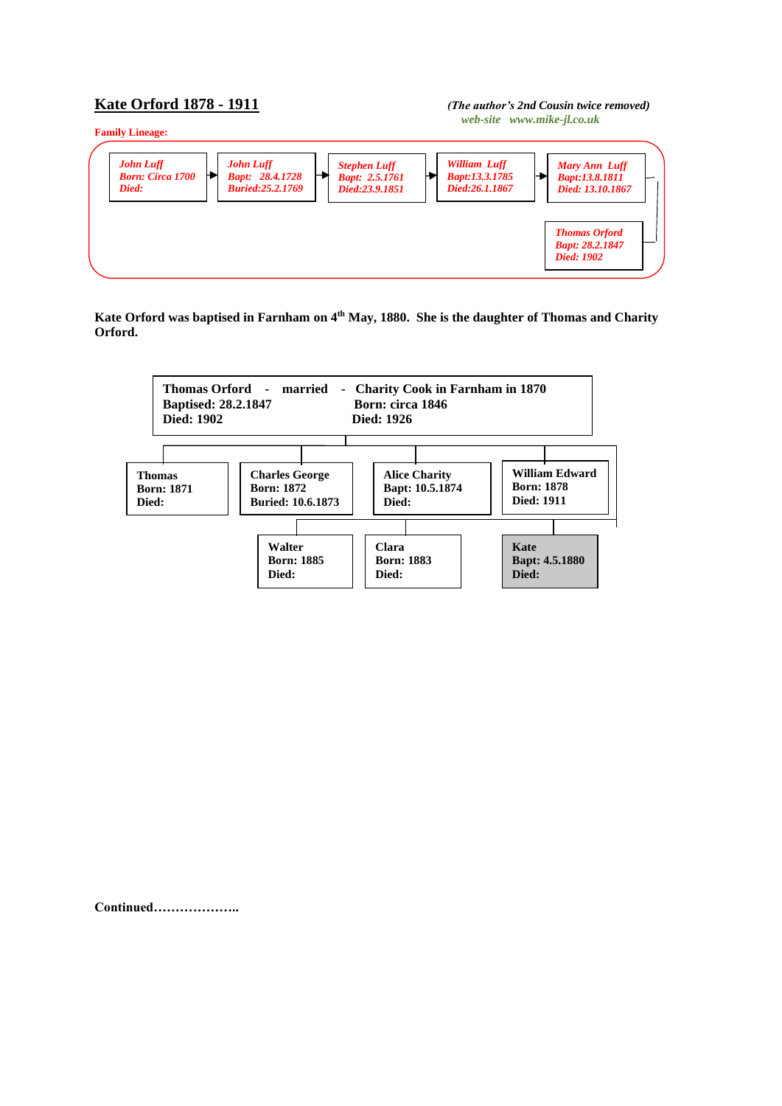## **Kate Orford 1878 - 1911** *(The author's 2nd Cousin twice removed)**web-site www.mike-jl.co.uk*



**Kate Orford was baptised in Farnham on 4th May, 1880. She is the daughter of Thomas and Charity Orford.**



**Continued………………..**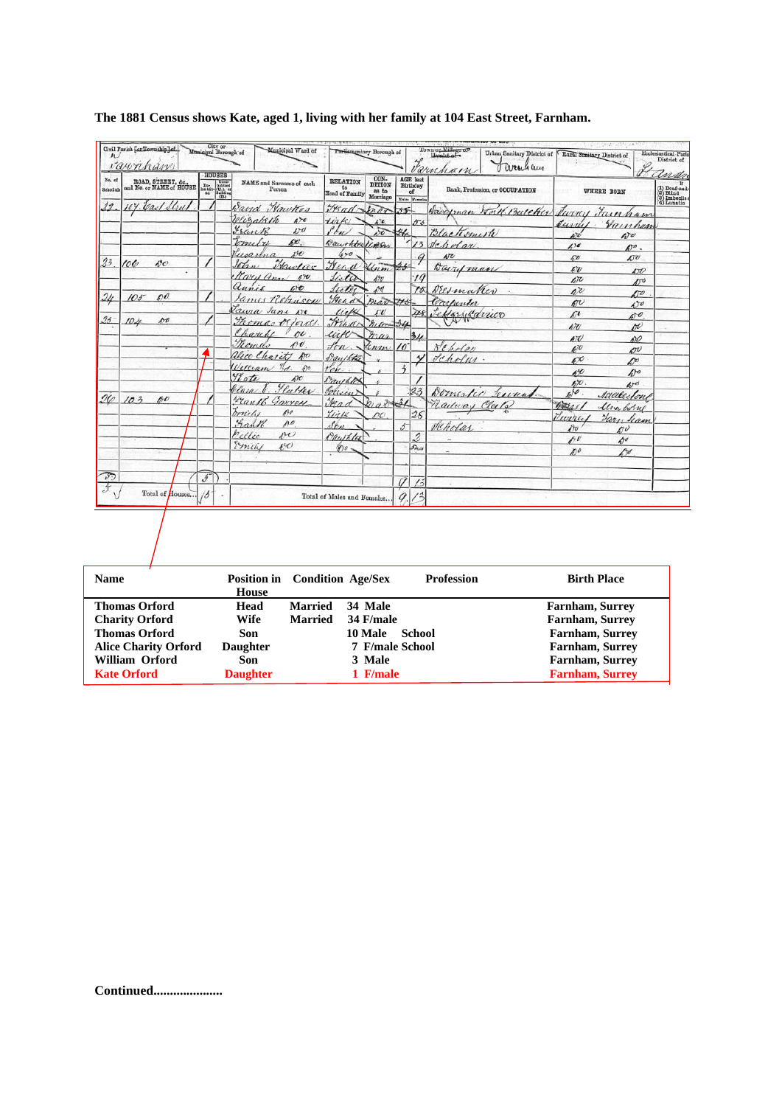| No, of<br>Selasdule             |               | ROAD, STREET, &c., and No. or NAME of HOUSE |                          | <b>HOUSES</b><br>$\begin{tabular}{ll} \multicolumn{1}{l}{\textbf{Tr}} & \multicolumn{1}{l}{\textbf{Unim}}\\ \multicolumn{1}{l}{\textbf{Tr}} & \multicolumn{1}{l}{\textbf{Inびed}}\\ \multicolumn{1}{l}{\textbf{Inuited}} & \multicolumn{1}{l}{\textbf{Unim}}\\ \multicolumn{1}{l}{\textbf{Inuited}} & \multicolumn{1}{l}{\textbf{Unim}}\\ \multicolumn{1}{l}{\textbf{Inuited}} & \multicolumn{1}{l}{\textbf{Unim}}\\ \multicolumn{1}{l}{\textbf{Inuited}} & \multicolumn{1}{l}{\textbf{Inuited}}\\ \multicolumn$ | NAME and Surnamo of cach<br>Person | <b>RELATION</b><br>to<br>Head of Family | CON-<br><b>DITION</b><br>as to<br>Marriage |                    | <b>AGE</b> last<br>Birthday<br>of<br>Males Founder | Varuham<br>Rank, Profession, or OCCUPATION |                                      | WHERE BORN                  | tudn<br>(1) Deaf-aud-<br>(2) Blind<br>(3) Imbedie:<br>(4) Lunatic |
|---------------------------------|---------------|---------------------------------------------|--------------------------|-----------------------------------------------------------------------------------------------------------------------------------------------------------------------------------------------------------------------------------------------------------------------------------------------------------------------------------------------------------------------------------------------------------------------------------------------------------------------------------------------------------------|------------------------------------|-----------------------------------------|--------------------------------------------|--------------------|----------------------------------------------------|--------------------------------------------|--------------------------------------|-----------------------------|-------------------------------------------------------------------|
| 29                              |               | y. Vad Strut                                |                          |                                                                                                                                                                                                                                                                                                                                                                                                                                                                                                                 | Sand Wawter                        | Fraul-Inar                              |                                            | $35 -$             |                                                    | Saugman Worth Butcher                      |                                      | Jurry Fainham               |                                                                   |
|                                 |               |                                             |                          |                                                                                                                                                                                                                                                                                                                                                                                                                                                                                                                 | Websaleth<br>470                   | tirk                                    | $\mathcal{L}^{\dagger}$                    |                    | 556                                                |                                            | Jurriy                               | Vainhan                     |                                                                   |
|                                 |               |                                             |                          |                                                                                                                                                                                                                                                                                                                                                                                                                                                                                                                 | Frank<br>600                       | i kn                                    | st                                         |                    |                                                    | Blacksmith                                 | ûЮ                                   | $\mathcal{L}$               |                                                                   |
|                                 |               |                                             |                          |                                                                                                                                                                                                                                                                                                                                                                                                                                                                                                                 | po.<br>bometre                     | Bauchter Unen                           |                                            |                    | 13                                                 | Scholar                                    | 100                                  | $D^o$ .                     |                                                                   |
| 23                              |               |                                             |                          |                                                                                                                                                                                                                                                                                                                                                                                                                                                                                                                 | 150<br>$u_0$ arina                 | $4 - 0$                                 |                                            |                    |                                                    | $k\overline{\nu}$                          | w                                    | 60                          |                                                                   |
|                                 | $100^{\circ}$ | 60 <sup>o</sup>                             |                          |                                                                                                                                                                                                                                                                                                                                                                                                                                                                                                                 | Hawlies<br>John                    | Frend                                   | Linn                                       | $45 -$             |                                                    | David man                                  | E                                    | <b>STO</b>                  |                                                                   |
|                                 |               |                                             |                          |                                                                                                                                                                                                                                                                                                                                                                                                                                                                                                                 | Mary Ann 10.                       | lista                                   | $_{10}^{19}$                               |                    | .14                                                |                                            | $\sqrt{c}$                           | 250                         |                                                                   |
| $\frac{\partial u}{\partial x}$ | $105^{-}$     | $\mathcal{L}$                               |                          |                                                                                                                                                                                                                                                                                                                                                                                                                                                                                                                 | annie<br>Ete                       | feeter                                  | 10                                         |                    | 75                                                 | Neswaker                                   | $\Lambda$                            | $\Lambda$ o                 |                                                                   |
|                                 |               |                                             |                          |                                                                                                                                                                                                                                                                                                                                                                                                                                                                                                                 | James Robinson                     | Head.                                   | mar tts                                    |                    |                                                    | Carpenter                                  | w                                    | 470                         |                                                                   |
| $2.5 -$                         |               | p o                                         |                          |                                                                                                                                                                                                                                                                                                                                                                                                                                                                                                                 | Tawa Jane De                       | with                                    | rv                                         |                    | <b>ASS</b>                                         | HornSarrico<br>w                           | $\pi$                                | 0 <sup>o</sup>              |                                                                   |
|                                 | 10.4          |                                             |                          |                                                                                                                                                                                                                                                                                                                                                                                                                                                                                                                 | Thomas Mord                        | Head                                    | $rac{34}{4}$                               |                    |                                                    |                                            | $\iota v$                            | re                          |                                                                   |
|                                 |               |                                             |                          |                                                                                                                                                                                                                                                                                                                                                                                                                                                                                                                 | Charles<br>nı<br>Romelo<br>690     | uch                                     | mar                                        |                    | 34                                                 |                                            | АT                                   | AYO                         |                                                                   |
|                                 |               |                                             |                          |                                                                                                                                                                                                                                                                                                                                                                                                                                                                                                                 | alice Charit<br>E                  | $f_{\ell}$                              | tenan.                                     | 16                 |                                                    | Scholan                                    | 470                                  | $\mathcal{L}^{\mathcal{V}}$ |                                                                   |
|                                 |               |                                             |                          |                                                                                                                                                                                                                                                                                                                                                                                                                                                                                                                 | %<br>Villeam<br>420                | Danshta                                 |                                            | $\ddot{3}$         |                                                    | Scholar.                                   | 670                                  | D                           |                                                                   |
|                                 |               |                                             |                          |                                                                                                                                                                                                                                                                                                                                                                                                                                                                                                                 | <b>Ylate</b><br>A                  | où                                      |                                            |                    |                                                    |                                            | 6%                                   | $\Delta$                    |                                                                   |
|                                 |               |                                             |                          |                                                                                                                                                                                                                                                                                                                                                                                                                                                                                                                 | <u>Hatter</u><br>clara.            | Dauchter                                |                                            |                    | 23                                                 |                                            | $h$ <sub><math>\alpha</math></sub> . | 40 <sup>d</sup>             |                                                                   |
| 26                              | 103           | po                                          |                          |                                                                                                                                                                                                                                                                                                                                                                                                                                                                                                                 | Frank Garren                       | Colisin<br>$\frac{1}{18}$               | Grab 31                                    |                    |                                                    | Domester Lectual                           | 60                                   | saalulone                   |                                                                   |
|                                 |               |                                             |                          |                                                                                                                                                                                                                                                                                                                                                                                                                                                                                                                 | mille<br>190                       | Yiik                                    | p0                                         |                    | 26                                                 | Laduay Clata                               | 40rac                                | lim borns                   |                                                                   |
|                                 |               |                                             |                          |                                                                                                                                                                                                                                                                                                                                                                                                                                                                                                                 | Fank<br>100                        | $\delta_{\ell\ell}$                     |                                            | $\overline{5}^{-}$ |                                                    |                                            | Viverce                              | Farn ham                    |                                                                   |
|                                 |               |                                             |                          |                                                                                                                                                                                                                                                                                                                                                                                                                                                                                                                 | Pellie<br>$\sim$                   | Quikta                                  |                                            |                    | 2                                                  | Veholar                                    | $\partial$                           | m                           |                                                                   |
|                                 |               |                                             |                          |                                                                                                                                                                                                                                                                                                                                                                                                                                                                                                                 | Emily<br>60 <sup>o</sup>           | $200 -$                                 |                                            |                    | 5h                                                 |                                            | $\hat{\mathbf{r}}$                   | $A^{\sigma}$                |                                                                   |
|                                 |               |                                             |                          |                                                                                                                                                                                                                                                                                                                                                                                                                                                                                                                 |                                    |                                         |                                            |                    |                                                    |                                            | DO                                   | D <del>ø</del>              |                                                                   |
|                                 |               |                                             |                          |                                                                                                                                                                                                                                                                                                                                                                                                                                                                                                                 |                                    |                                         |                                            |                    |                                                    |                                            |                                      |                             |                                                                   |
| $\mathcal{D}$                   |               |                                             | $\overline{\mathcal{I}}$ |                                                                                                                                                                                                                                                                                                                                                                                                                                                                                                                 |                                    |                                         |                                            |                    | 13                                                 |                                            |                                      |                             |                                                                   |
| $\mathcal{F}$                   |               | Total of Houses                             | 13                       |                                                                                                                                                                                                                                                                                                                                                                                                                                                                                                                 |                                    | Total of Males and Females              |                                            | 9                  |                                                    |                                            |                                      |                             |                                                                   |
|                                 |               |                                             |                          |                                                                                                                                                                                                                                                                                                                                                                                                                                                                                                                 |                                    |                                         |                                            |                    |                                                    |                                            |                                      |                             |                                                                   |

## **The 1881 Census shows Kate, aged 1, living with her family at 104 East Street, Farnham.**

| <b>Name</b>                 | Position in Condition Age/Sex |                |                        | <b>Profession</b> | <b>Birth Place</b>     |
|-----------------------------|-------------------------------|----------------|------------------------|-------------------|------------------------|
|                             | House                         |                |                        |                   |                        |
| <b>Thomas Orford</b>        | Head                          | Married        | 34 Male                |                   | <b>Farnham, Surrey</b> |
| <b>Charity Orford</b>       | Wife                          | <b>Married</b> | 34 F/male              |                   | <b>Farnham, Surrey</b> |
| <b>Thomas Orford</b>        | <b>Son</b>                    |                | <b>10 Male</b>         | School            | <b>Farnham, Surrey</b> |
| <b>Alice Charity Orford</b> | <b>Daughter</b>               |                | <b>7 F/male School</b> |                   | <b>Farnham, Surrey</b> |
| William Orford              | Son                           |                | 3 Male                 |                   | <b>Farnham, Surrey</b> |
| <b>Kate Orford</b>          | <b>Daughter</b>               |                | 1 F/male               |                   | <b>Farnham, Surrey</b> |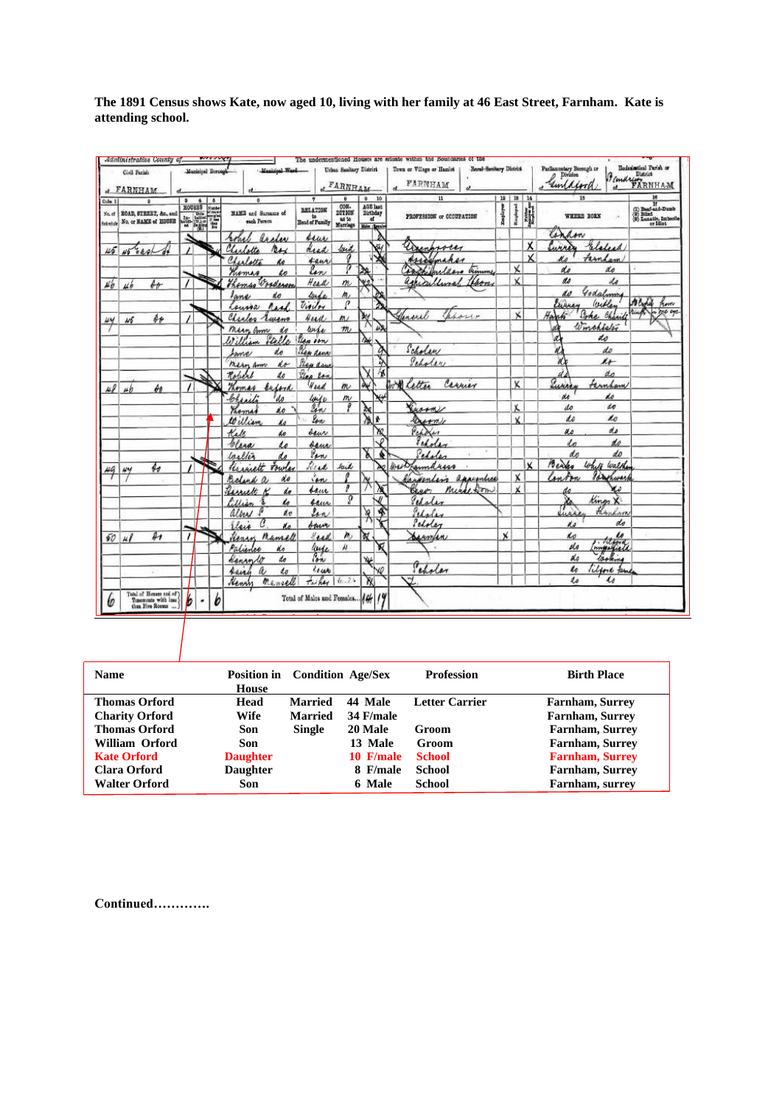**The 1891 Census shows Kate, now aged 10, living with her family at 46 East Street, Farnham. Kate is attending school.**

|                                      | Civil Parish<br>et FARNHAM                                              |                               | Municipal Beronal        | Massissal Wash                                    |                                         | Urban Sanitary District<br><b>FARNHAM</b>           |                                                                | Bornl-Sanitary District<br>Town or Village or Hamlet<br>FARNHAM |              |                           |                      | $\begin{tabular}{l} \bf Purlinometry \; Beosegh \; or \\ \begin{tabular}{c} \multicolumn{3}{c}{\textbf{\textit{D}}} \\ \multicolumn{3}{c}{\textbf{\textit{D}}} \\ \multicolumn{3}{c}{\textbf{\textit{D}}} \\ \multicolumn{3}{c}{\textbf{\textit{D}}} \\ \multicolumn{3}{c}{\textbf{\textit{D}}} \\ \multicolumn{3}{c}{\textbf{\textit{D}}} \\ \multicolumn{3}{c}{\textbf{\textit{D}}} \\ \multicolumn{3}{c}{\textbf{\textit{D}}} \\ \multicolumn{3}{c}{\textbf{\textit{D}}} \\ \multicolumn{3}{c$<br>unlawa | Ecclesimtical Parish or<br>Bemary RRNHAM                                       |
|--------------------------------------|-------------------------------------------------------------------------|-------------------------------|--------------------------|---------------------------------------------------|-----------------------------------------|-----------------------------------------------------|----------------------------------------------------------------|-----------------------------------------------------------------|--------------|---------------------------|----------------------|-------------------------------------------------------------------------------------------------------------------------------------------------------------------------------------------------------------------------------------------------------------------------------------------------------------------------------------------------------------------------------------------------------------------------------------------------------------------------------------------------------------|--------------------------------------------------------------------------------|
| Cola. 1<br>No. of<br><b>Sebadule</b> | $\overline{a}$<br>ROAD, STEEET, &c. and<br>No. or NAME of HOUSE         | $\mathbf{a}$<br>HOUSES.<br>基礎 | õ<br><b>Fierday</b><br>W | NAME and Summar of<br>each Person                 | <b>BELATION</b><br>to<br>Head of Family | $\mathbf{H}$<br>COM-<br>DI710N<br>ss to<br>Marriage | 10<br>$\bullet$<br>AGE last<br>Birthday<br>at<br>Males (Lounds | $11$<br>PROFESSION OF COOUPATION                                | Employer     | 19   18   14<br>Response  | $\frac{3000}{25000}$ | $\overline{15}$<br>WHERE BORN                                                                                                                                                                                                                                                                                                                                                                                                                                                                               | 16<br>(2) Bearing 14<br>(3) Bind<br>(3) Equation Imbook<br>(3) Lanation Imbook |
|                                      |                                                                         | د                             |                          | archer<br>robel                                   | sur                                     |                                                     |                                                                |                                                                 |              |                           | Χ                    | lin<br>dow<br>Elefeed<br><b>MARA</b>                                                                                                                                                                                                                                                                                                                                                                                                                                                                        |                                                                                |
| 45                                   | <i>bash</i>                                                             |                               |                          | Charlotte<br>$n_{\mathcal{H}}$<br>Charlotta<br>ho | dead<br>tans                            | lock<br>o                                           |                                                                | assampsores<br>Assomahar                                        |              |                           | x                    | Farnham                                                                                                                                                                                                                                                                                                                                                                                                                                                                                                     |                                                                                |
|                                      |                                                                         |                               |                          | Thomas<br>to                                      | lon<br>Head                             | ρ<br>m                                              | y.                                                             | sachifulders.<br>timmy<br>agricultural                          |              | $\times$<br>x             |                      | do<br>do<br>do<br>do                                                                                                                                                                                                                                                                                                                                                                                                                                                                                        |                                                                                |
| $\mu_{\theta}$                       | bo<br>ub                                                                |                               |                          | Thomas Wooderson<br>lane<br>do                    | lande                                   | m,                                                  |                                                                |                                                                 |              |                           |                      | Godslimme<br>do                                                                                                                                                                                                                                                                                                                                                                                                                                                                                             |                                                                                |
| wy                                   | $\oint \oint$<br>1/5                                                    |                               |                          | Asal.<br>Course<br>Charles<br>Tweens              | Violet<br>Head                          | $\boldsymbol{\sigma}$<br>m)                         | ₹                                                              | Jeneral                                                         |              | $\boldsymbol{\mathsf{x}}$ |                      | Withen<br>Eures<br>Poke<br>Hart<br>Charit                                                                                                                                                                                                                                                                                                                                                                                                                                                                   | A Croud<br>From<br>$500 - 692$                                                 |
|                                      |                                                                         |                               |                          | Marn Com<br>do                                    | wife                                    | m                                                   | 45                                                             |                                                                 |              |                           |                      | Winchieler<br>d<br>d<br>do                                                                                                                                                                                                                                                                                                                                                                                                                                                                                  |                                                                                |
|                                      |                                                                         |                               |                          | Stelle<br>do<br>Ime                               | len ion<br>Plex dens                    |                                                     | $\lambda_{\epsilon}$<br>ą                                      | Scholar                                                         |              |                           |                      | do                                                                                                                                                                                                                                                                                                                                                                                                                                                                                                          |                                                                                |
|                                      |                                                                         | $\lambda$                     |                          | do<br>mein am<br>Robert<br>do                     | Please dans<br>Stea Ran                 |                                                     |                                                                | Peholer                                                         |              |                           |                      | $\mu$<br>do<br>d                                                                                                                                                                                                                                                                                                                                                                                                                                                                                            |                                                                                |
| $\overline{12}$                      | $\phi_{\theta}$<br>ub.                                                  |                               |                          | Komas<br>beford                                   | Head                                    | m                                                   | ÀÝ                                                             | avil letter<br>Carrier                                          |              | Χ                         |                      | Puring<br>Fernham                                                                                                                                                                                                                                                                                                                                                                                                                                                                                           |                                                                                |
|                                      |                                                                         |                               |                          | <sup>1</sup> do<br>Chariti<br>Promas<br>áo        | luife<br>len                            | $\overline{m}$                                      | 含                                                              | inorm                                                           |              | X                         |                      | do<br>de<br>do<br>do                                                                                                                                                                                                                                                                                                                                                                                                                                                                                        |                                                                                |
|                                      |                                                                         |                               |                          | William<br>ho<br>Kale<br>do                       | low<br>dow                              |                                                     | ÷<br>æ                                                         | Durmy<br>Perder                                                 |              | v                         |                      | <b>do</b><br>do<br>do<br>u.c                                                                                                                                                                                                                                                                                                                                                                                                                                                                                |                                                                                |
|                                      |                                                                         |                               |                          | Clera<br>Lo                                       | saur                                    |                                                     | ✓                                                              | Peholen                                                         |              |                           |                      | do                                                                                                                                                                                                                                                                                                                                                                                                                                                                                                          |                                                                                |
| 49                                   | H<br>w                                                                  |                               |                          | Walter<br>do<br>towles<br>Krainett                | Van<br>Read                             | frit                                                | ď                                                              | Pedalen<br>remaries<br>4400                                     |              |                           | ×.                   | do<br>do<br>Benko<br>White<br>Walthe                                                                                                                                                                                                                                                                                                                                                                                                                                                                        |                                                                                |
|                                      |                                                                         |                               |                          | do<br>Beland                                      | ien<br>sam                              | ,                                                   |                                                                | appropriace<br>rivertin<br>nicel form                           |              | x<br>x                    |                      | lin<br>inter<br>huran<br>Lo                                                                                                                                                                                                                                                                                                                                                                                                                                                                                 |                                                                                |
|                                      |                                                                         |                               |                          | Rimett<br>do<br>ho<br>Lillian                     | saur                                    | g                                                   |                                                                | Beno.<br>Peholes                                                |              |                           |                      | Kings<br>函<br>Ň.<br>7                                                                                                                                                                                                                                                                                                                                                                                                                                                                                       |                                                                                |
|                                      |                                                                         |                               |                          | $\mathbf{v}$<br>albert<br>lleis<br>d a            | Lan<br>bauer                            |                                                     | 啄<br>$\frac{1}{2}$                                             | Peloles<br>Scholar                                              |              |                           |                      | Hynkam<br>uès<br>do<br>ds                                                                                                                                                                                                                                                                                                                                                                                                                                                                                   |                                                                                |
|                                      | $\overline{\mathbb{A}}$<br>50   48                                      |                               |                          | Henry<br>numell                                   | Eral                                    | n                                                   | ¥<br>X                                                         | Barnfan                                                         | $\mathbf{x}$ |                           |                      | interested<br>do<br>do                                                                                                                                                                                                                                                                                                                                                                                                                                                                                      |                                                                                |
|                                      |                                                                         |                               |                          | Palinher<br>alo<br>do<br>Kennet                   | line<br>لأولى                           | Ĥ.                                                  | ₩                                                              |                                                                 |              |                           |                      | lasking<br>do                                                                                                                                                                                                                                                                                                                                                                                                                                                                                               |                                                                                |
|                                      |                                                                         |                               |                          | $\omega$<br>such<br>do<br>Henry<br>mensell        | Leur<br>Tai hay                         | 6.31                                                | ٧Ó<br><b>X</b>                                                 | Peholar<br>٣                                                    |              |                           |                      | $\boldsymbol{\ell}$<br>Tilford Jame<br>Lo<br>$\mathcal{U}$                                                                                                                                                                                                                                                                                                                                                                                                                                                  |                                                                                |
| w                                    | Total of Houses and of )<br>Tonomonts with lass !<br>than Five Rooms  ) | b<br>٠                        | ь                        |                                                   | Total of Makes and Females. 16          |                                                     | $\frac{1}{2}$                                                  |                                                                 |              |                           |                      |                                                                                                                                                                                                                                                                                                                                                                                                                                                                                                             |                                                                                |

| <b>Name</b>           | Position in Condition Age/Sex<br>House |                |             | <b>Profession</b>     | <b>Birth Place</b>     |
|-----------------------|----------------------------------------|----------------|-------------|-----------------------|------------------------|
| <b>Thomas Orford</b>  | Head                                   | <b>Married</b> | 44 Male     | <b>Letter Carrier</b> | Farnham, Surrey        |
| <b>Charity Orford</b> | Wife                                   | <b>Married</b> | 34 F/male   |                       | <b>Farnham, Surrey</b> |
| <b>Thomas Orford</b>  | Son                                    | <b>Single</b>  | 20 Male     | Groom                 | Farnham, Surrey        |
| William Orford        | Son                                    |                | 13 Male     | Groom                 | Farnham, Surrey        |
| <b>Kate Orford</b>    | <b>Daughter</b>                        |                | $10$ F/male | <b>School</b>         | <b>Farnham, Surrey</b> |
| Clara Orford          | <b>Daughter</b>                        |                | 8 F/male    | School                | <b>Farnham, Surrey</b> |
| <b>Walter Orford</b>  | Son                                    |                | 6 Male      | <b>School</b>         | Farnham, surrey        |

**Continued………….**